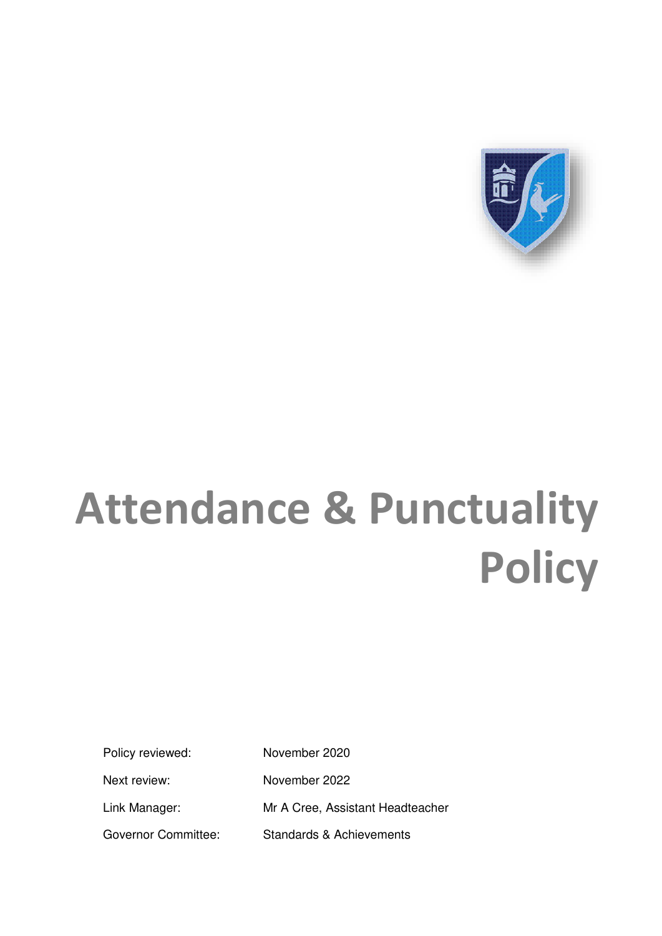

# **Attendance & Punctuality Policy**

Policy reviewed: November 2020

Next review: November 2022 Link Manager: Mr A Cree, Assistant Headteacher

Governor Committee: Standards & Achievements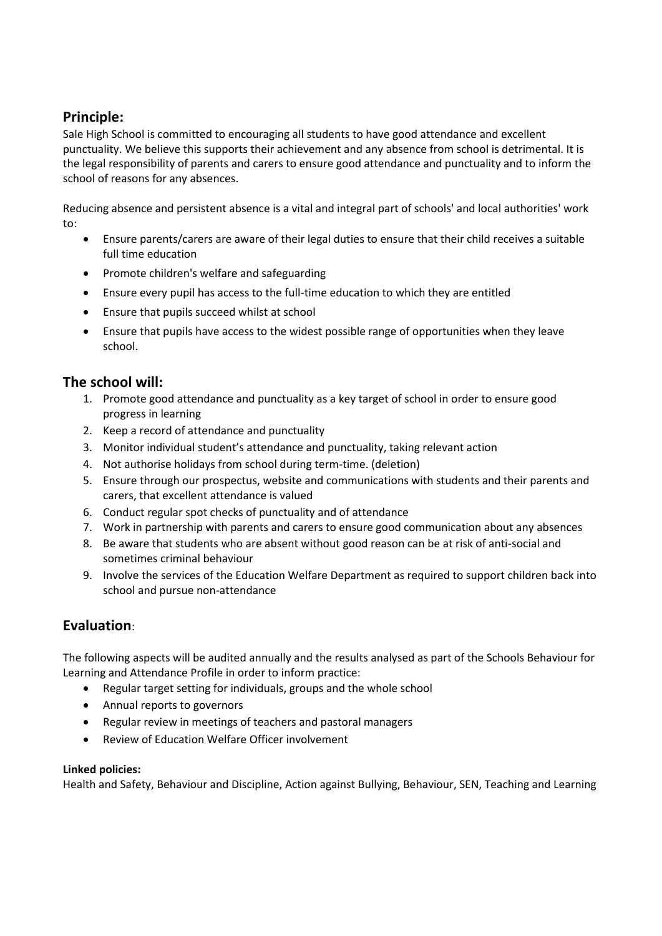#### **Principle:**

Sale High School is committed to encouraging all students to have good attendance and excellent punctuality. We believe this supports their achievement and any absence from school is detrimental. It is the legal responsibility of parents and carers to ensure good attendance and punctuality and to inform the school of reasons for any absences.

Reducing absence and persistent absence is a vital and integral part of schools' and local authorities' work to:

- Ensure parents/carers are aware of their legal duties to ensure that their child receives a suitable full time education
- Promote children's welfare and safeguarding
- Ensure every pupil has access to the full-time education to which they are entitled
- Ensure that pupils succeed whilst at school
- Ensure that pupils have access to the widest possible range of opportunities when they leave school.

#### **The school will:**

- 1. Promote good attendance and punctuality as a key target of school in order to ensure good progress in learning
- 2. Keep a record of attendance and punctuality
- 3. Monitor individual student's attendance and punctuality, taking relevant action
- 4. Not authorise holidays from school during term-time. (deletion)
- 5. Ensure through our prospectus, website and communications with students and their parents and carers, that excellent attendance is valued
- 6. Conduct regular spot checks of punctuality and of attendance
- 7. Work in partnership with parents and carers to ensure good communication about any absences
- 8. Be aware that students who are absent without good reason can be at risk of anti-social and sometimes criminal behaviour
- 9. Involve the services of the Education Welfare Department as required to support children back into school and pursue non-attendance

#### **Evaluation**:

The following aspects will be audited annually and the results analysed as part of the Schools Behaviour for Learning and Attendance Profile in order to inform practice:

- Regular target setting for individuals, groups and the whole school
- Annual reports to governors
- Regular review in meetings of teachers and pastoral managers
- Review of Education Welfare Officer involvement

#### **Linked policies:**

Health and Safety, Behaviour and Discipline, Action against Bullying, Behaviour, SEN, Teaching and Learning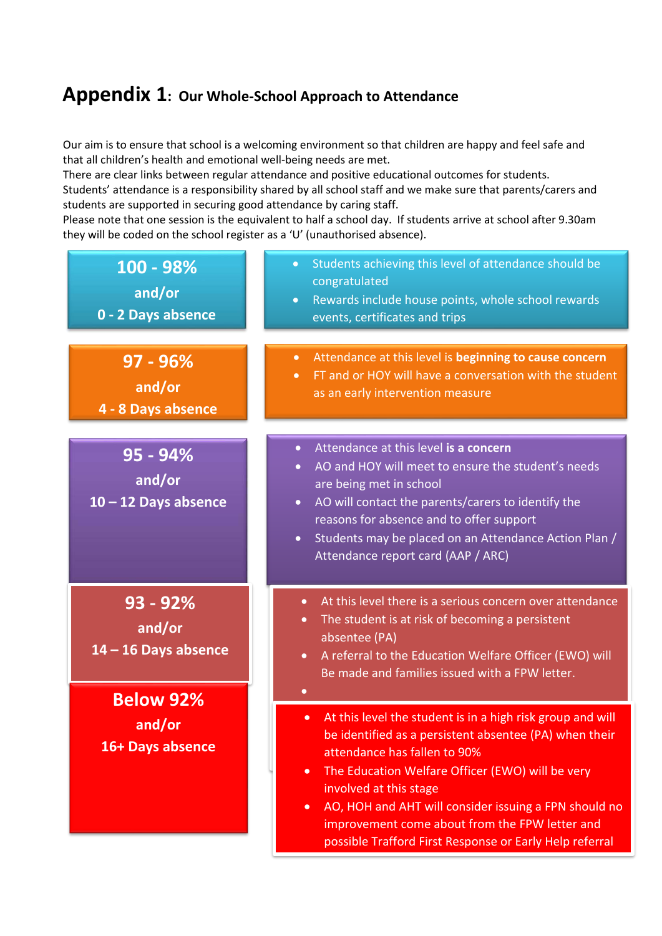### **Appendix 1: Our Whole-School Approach to Attendance**

Our aim is to ensure that school is a welcoming environment so that children are happy and feel safe and that all children's health and emotional well-being needs are met.

There are clear links between regular attendance and positive educational outcomes for students. Students' attendance is a responsibility shared by all school staff and we make sure that parents/carers and students are supported in securing good attendance by caring staff.

Please note that one session is the equivalent to half a school day. If students arrive at school after 9.30am they will be coded on the school register as a 'U' (unauthorised absence).

| 100 - 98%<br>and/or<br>0 - 2 Days absence      | Students achieving this level of attendance should be<br>$\bullet$<br>congratulated<br>Rewards include house points, whole school rewards<br>$\bullet$<br>events, certificates and trips                                                                                                                                                                                                                                                        |
|------------------------------------------------|-------------------------------------------------------------------------------------------------------------------------------------------------------------------------------------------------------------------------------------------------------------------------------------------------------------------------------------------------------------------------------------------------------------------------------------------------|
| 97 - 96%<br>and/or<br>4 - 8 Days absence       | Attendance at this level is beginning to cause concern<br>$\bullet$<br>FT and or HOY will have a conversation with the student<br>$\bullet$<br>as an early intervention measure                                                                                                                                                                                                                                                                 |
| 95 - 94%<br>and/or<br>$10 - 12$ Days absence   | Attendance at this level is a concern<br>$\bullet$<br>AO and HOY will meet to ensure the student's needs<br>$\bullet$<br>are being met in school<br>AO will contact the parents/carers to identify the<br>$\bullet$<br>reasons for absence and to offer support<br>Students may be placed on an Attendance Action Plan /<br>$\bullet$<br>Attendance report card (AAP / ARC)                                                                     |
| $93 - 92%$<br>and/or<br>$14 - 16$ Days absence | At this level there is a serious concern over attendance<br>$\bullet$<br>The student is at risk of becoming a persistent<br>$\bullet$<br>absentee (PA)<br>A referral to the Education Welfare Officer (EWO) will<br>$\bullet$<br>Be made and families issued with a FPW letter.                                                                                                                                                                 |
| <b>Below 92%</b><br>and/or<br>16+ Days absence | At this level the student is in a high risk group and will<br>$\bullet$<br>be identified as a persistent absentee (PA) when their<br>attendance has fallen to 90%<br>The Education Welfare Officer (EWO) will be very<br>$\bullet$<br>involved at this stage<br>AO, HOH and AHT will consider issuing a FPN should no<br>$\bullet$<br>improvement come about from the FPW letter and<br>possible Trafford First Response or Early Help referral |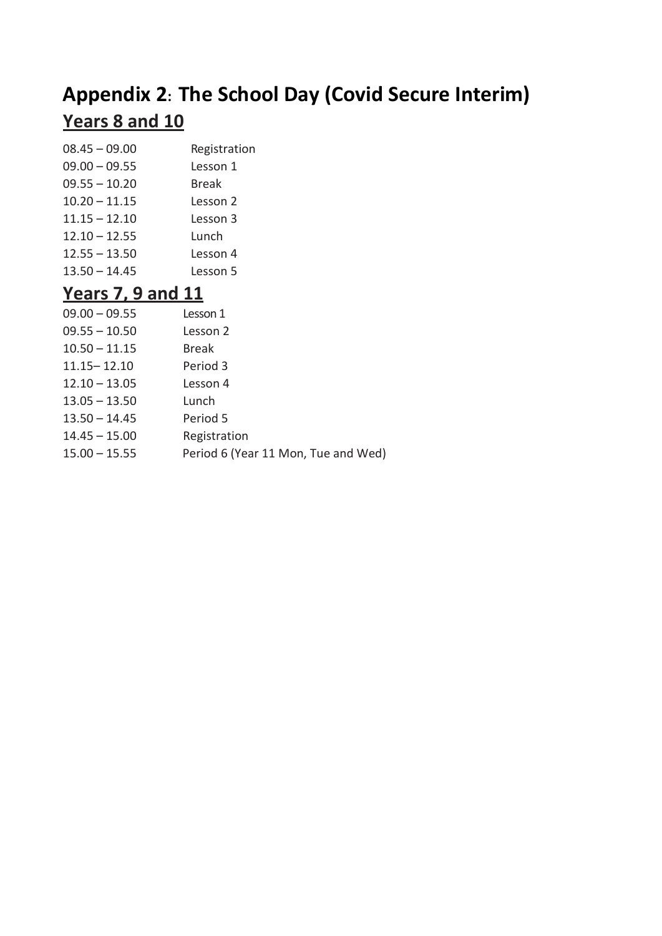## **Appendix 2: The School Day (Covid Secure Interim) Years 8 and 10**

| $08.45 - 09.00$ | Registration |
|-----------------|--------------|
| $09.00 - 09.55$ | Lesson 1     |
| $09.55 - 10.20$ | Break        |
| $10.20 - 11.15$ | Lesson 2     |
| $11.15 - 12.10$ | Lesson 3     |
| $12.10 - 12.55$ | Lunch        |
| $12.55 - 13.50$ | Lesson 4     |
| $13.50 - 14.45$ | Lesson 5     |
|                 |              |

## **Years 7, 9 and 11**

| $09.00 - 09.55$ | Lesson 1                            |
|-----------------|-------------------------------------|
| $09.55 - 10.50$ | Lesson 2                            |
| $10.50 - 11.15$ | <b>Break</b>                        |
| $11.15 - 12.10$ | Period 3                            |
| $12.10 - 13.05$ | Lesson 4                            |
| $13.05 - 13.50$ | Lunch                               |
| $13.50 - 14.45$ | Period 5                            |
| $14.45 - 15.00$ | Registration                        |
| $15.00 - 15.55$ | Period 6 (Year 11 Mon, Tue and Wed) |
|                 |                                     |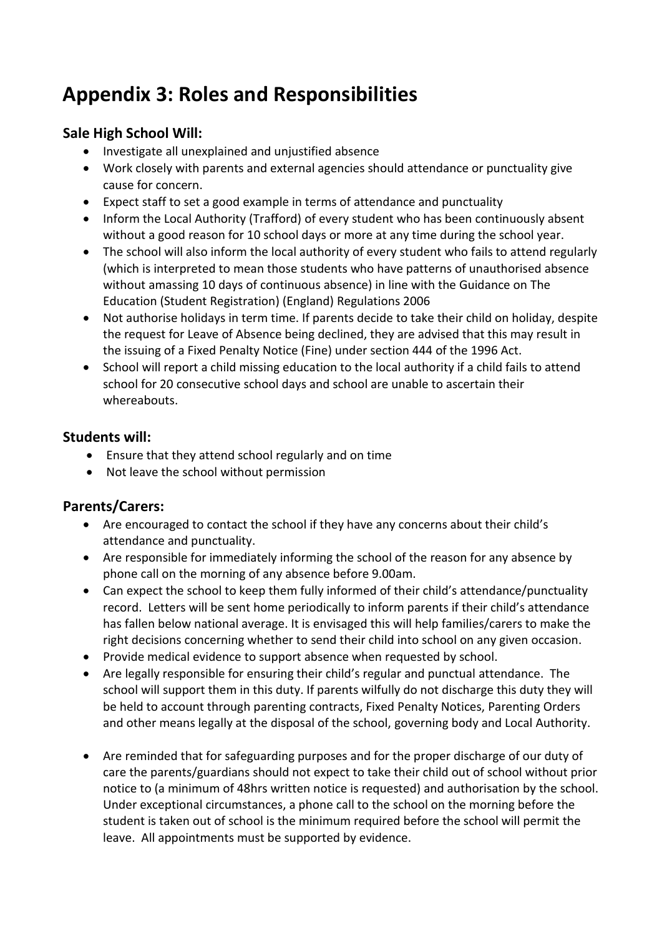## **Appendix 3: Roles and Responsibilities**

#### **Sale High School Will:**

- Investigate all unexplained and unjustified absence
- Work closely with parents and external agencies should attendance or punctuality give cause for concern.
- Expect staff to set a good example in terms of attendance and punctuality
- Inform the Local Authority (Trafford) of every student who has been continuously absent without a good reason for 10 school days or more at any time during the school year.
- The school will also inform the local authority of every student who fails to attend regularly (which is interpreted to mean those students who have patterns of unauthorised absence without amassing 10 days of continuous absence) in line with the Guidance on The Education (Student Registration) (England) Regulations 2006
- Not authorise holidays in term time. If parents decide to take their child on holiday, despite the request for Leave of Absence being declined, they are advised that this may result in the issuing of a Fixed Penalty Notice (Fine) under section 444 of the 1996 Act.
- School will report a child missing education to the local authority if a child fails to attend school for 20 consecutive school days and school are unable to ascertain their whereabouts.

#### **Students will:**

- Ensure that they attend school regularly and on time
- Not leave the school without permission

#### **Parents/Carers:**

- Are encouraged to contact the school if they have any concerns about their child's attendance and punctuality.
- Are responsible for immediately informing the school of the reason for any absence by phone call on the morning of any absence before 9.00am.
- Can expect the school to keep them fully informed of their child's attendance/punctuality record. Letters will be sent home periodically to inform parents if their child's attendance has fallen below national average. It is envisaged this will help families/carers to make the right decisions concerning whether to send their child into school on any given occasion.
- Provide medical evidence to support absence when requested by school.
- Are legally responsible for ensuring their child's regular and punctual attendance. The school will support them in this duty. If parents wilfully do not discharge this duty they will be held to account through parenting contracts, Fixed Penalty Notices, Parenting Orders and other means legally at the disposal of the school, governing body and Local Authority.
- Are reminded that for safeguarding purposes and for the proper discharge of our duty of care the parents/guardians should not expect to take their child out of school without prior notice to (a minimum of 48hrs written notice is requested) and authorisation by the school. Under exceptional circumstances, a phone call to the school on the morning before the student is taken out of school is the minimum required before the school will permit the leave. All appointments must be supported by evidence.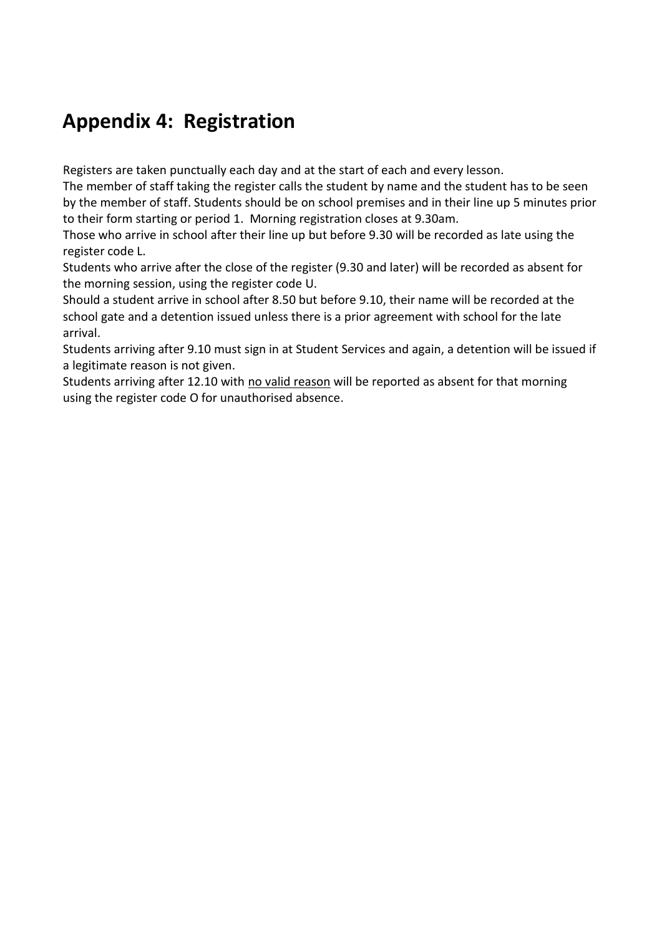## **Appendix 4: Registration**

Registers are taken punctually each day and at the start of each and every lesson.

The member of staff taking the register calls the student by name and the student has to be seen by the member of staff. Students should be on school premises and in their line up 5 minutes prior to their form starting or period 1. Morning registration closes at 9.30am.

Those who arrive in school after their line up but before 9.30 will be recorded as late using the register code L.

Students who arrive after the close of the register (9.30 and later) will be recorded as absent for the morning session, using the register code U.

Should a student arrive in school after 8.50 but before 9.10, their name will be recorded at the school gate and a detention issued unless there is a prior agreement with school for the late arrival.

Students arriving after 9.10 must sign in at Student Services and again, a detention will be issued if a legitimate reason is not given.

Students arriving after 12.10 with no valid reason will be reported as absent for that morning using the register code O for unauthorised absence.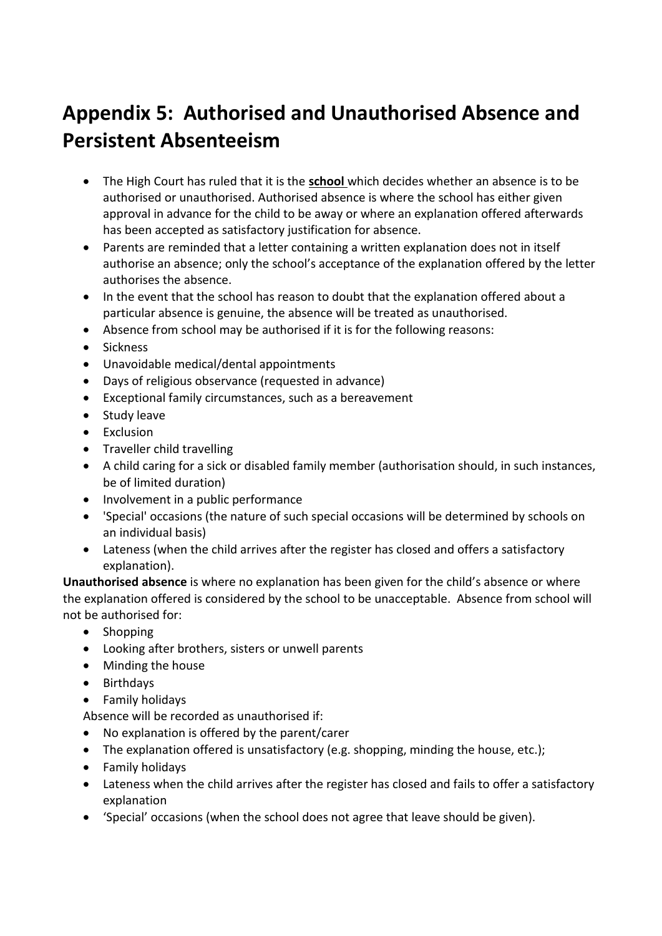## **Appendix 5: Authorised and Unauthorised Absence and Persistent Absenteeism**

- The High Court has ruled that it is the **school** which decides whether an absence is to be authorised or unauthorised. Authorised absence is where the school has either given approval in advance for the child to be away or where an explanation offered afterwards has been accepted as satisfactory justification for absence.
- Parents are reminded that a letter containing a written explanation does not in itself authorise an absence; only the school's acceptance of the explanation offered by the letter authorises the absence.
- In the event that the school has reason to doubt that the explanation offered about a particular absence is genuine, the absence will be treated as unauthorised.
- Absence from school may be authorised if it is for the following reasons:
- Sickness
- Unavoidable medical/dental appointments
- Days of religious observance (requested in advance)
- Exceptional family circumstances, such as a bereavement
- Study leave
- Exclusion
- Traveller child travelling
- A child caring for a sick or disabled family member (authorisation should, in such instances, be of limited duration)
- Involvement in a public performance
- 'Special' occasions (the nature of such special occasions will be determined by schools on an individual basis)
- Lateness (when the child arrives after the register has closed and offers a satisfactory explanation).

**Unauthorised absence** is where no explanation has been given for the child's absence or where the explanation offered is considered by the school to be unacceptable. Absence from school will not be authorised for:

- Shopping
- Looking after brothers, sisters or unwell parents
- Minding the house
- Birthdays
- Family holidays
- Absence will be recorded as unauthorised if:
- No explanation is offered by the parent/carer
- The explanation offered is unsatisfactory (e.g. shopping, minding the house, etc.);
- Family holidays
- Lateness when the child arrives after the register has closed and fails to offer a satisfactory explanation
- 'Special' occasions (when the school does not agree that leave should be given).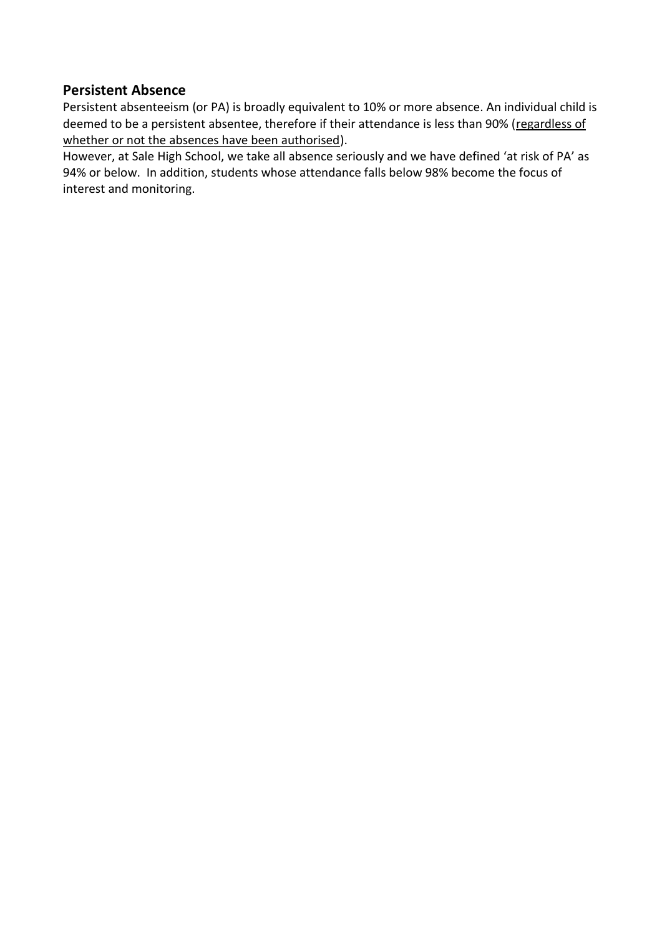#### **Persistent Absence**

Persistent absenteeism (or PA) is broadly equivalent to 10% or more absence. An individual child is deemed to be a persistent absentee, therefore if their attendance is less than 90% (regardless of whether or not the absences have been authorised).

However, at Sale High School, we take all absence seriously and we have defined 'at risk of PA' as 94% or below. In addition, students whose attendance falls below 98% become the focus of interest and monitoring.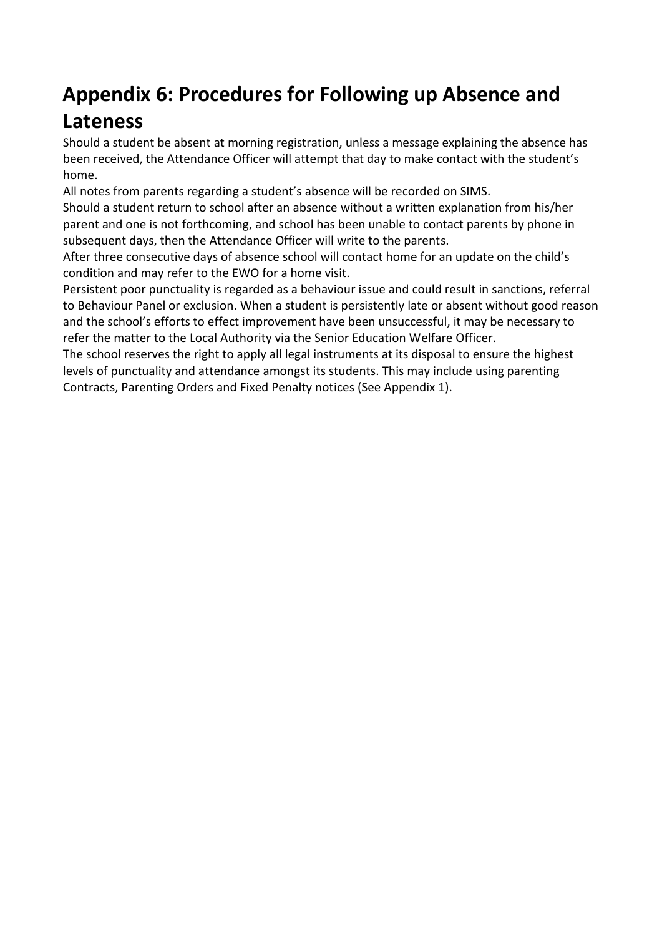## **Appendix 6: Procedures for Following up Absence and**

## **Lateness**

Should a student be absent at morning registration, unless a message explaining the absence has been received, the Attendance Officer will attempt that day to make contact with the student's home.

All notes from parents regarding a student's absence will be recorded on SIMS.

Should a student return to school after an absence without a written explanation from his/her parent and one is not forthcoming, and school has been unable to contact parents by phone in subsequent days, then the Attendance Officer will write to the parents.

After three consecutive days of absence school will contact home for an update on the child's condition and may refer to the EWO for a home visit.

Persistent poor punctuality is regarded as a behaviour issue and could result in sanctions, referral to Behaviour Panel or exclusion. When a student is persistently late or absent without good reason and the school's efforts to effect improvement have been unsuccessful, it may be necessary to refer the matter to the Local Authority via the Senior Education Welfare Officer.

The school reserves the right to apply all legal instruments at its disposal to ensure the highest levels of punctuality and attendance amongst its students. This may include using parenting Contracts, Parenting Orders and Fixed Penalty notices (See Appendix 1).